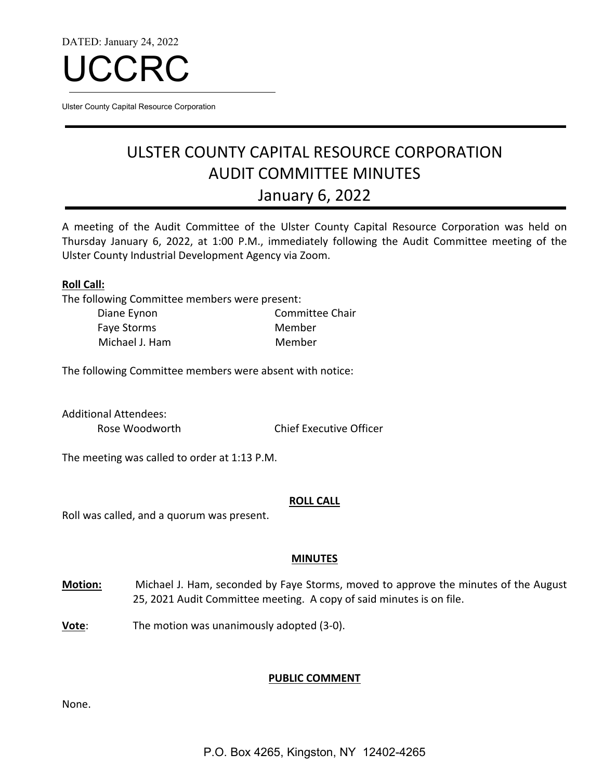DATED: January 24, 2022



Ulster County Capital Resource Corporation

# ULSTER COUNTY CAPITAL RESOURCE CORPORATION AUDIT COMMITTEE MINUTES January 6, 2022

A meeting of the Audit Committee of the Ulster County Capital Resource Corporation was held on Thursday January 6, 2022, at 1:00 P.M., immediately following the Audit Committee meeting of the Ulster County Industrial Development Agency via Zoom.

## **Roll Call:**

The following Committee members were present:

| Diane Eynon    | Committee Chair |
|----------------|-----------------|
| Faye Storms    | Member          |
| Michael J. Ham | Member          |

The following Committee members were absent with notice:

Additional Attendees:

Rose Woodworth Chief Executive Officer

The meeting was called to order at 1:13 P.M.

#### **ROLL CALL**

Roll was called, and a quorum was present.

## **MINUTES**

- **Motion:** Michael J. Ham, seconded by Faye Storms, moved to approve the minutes of the August 25, 2021 Audit Committee meeting. A copy of said minutes is on file.
- **Vote**: The motion was unanimously adopted (3-0).

## **PUBLIC COMMENT**

None.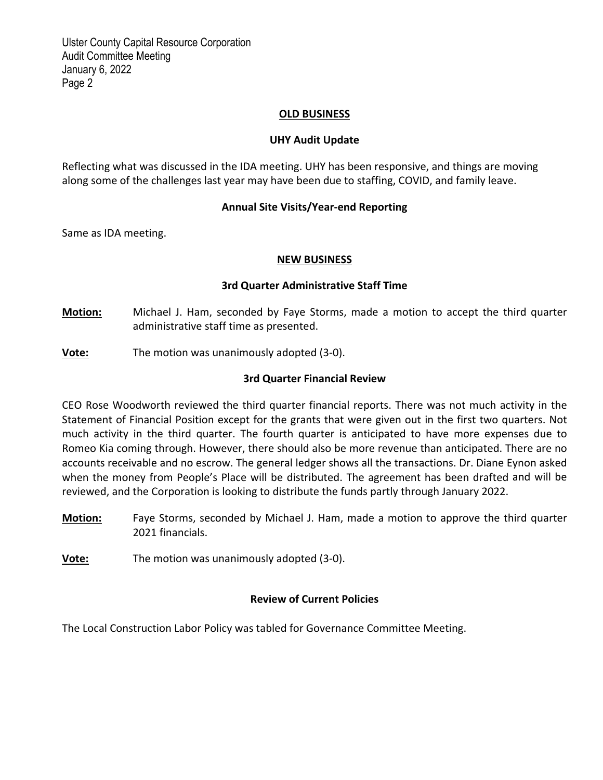Ulster County Capital Resource Corporation Audit Committee Meeting January 6, 2022 Page 2

## **OLD BUSINESS**

## **UHY Audit Update**

Reflecting what was discussed in the IDA meeting. UHY has been responsive, and things are moving along some of the challenges last year may have been due to staffing, COVID, and family leave.

## **Annual Site Visits/Year‐end Reporting**

Same as IDA meeting.

#### **NEW BUSINESS**

## **3rd Quarter Administrative Staff Time**

- **Motion:** Michael J. Ham, seconded by Faye Storms, made a motion to accept the third quarter administrative staff time as presented.
- **Vote:** The motion was unanimously adopted (3‐0).

## **3rd Quarter Financial Review**

CEO Rose Woodworth reviewed the third quarter financial reports. There was not much activity in the Statement of Financial Position except for the grants that were given out in the first two quarters. Not much activity in the third quarter. The fourth quarter is anticipated to have more expenses due to Romeo Kia coming through. However, there should also be more revenue than anticipated. There are no accounts receivable and no escrow. The general ledger shows all the transactions. Dr. Diane Eynon asked when the money from People's Place will be distributed. The agreement has been drafted and will be reviewed, and the Corporation is looking to distribute the funds partly through January 2022.

**Motion:** Faye Storms, seconded by Michael J. Ham, made a motion to approve the third quarter 2021 financials.

**Vote:** The motion was unanimously adopted (3‐0).

## **Review of Current Policies**

The Local Construction Labor Policy was tabled for Governance Committee Meeting.